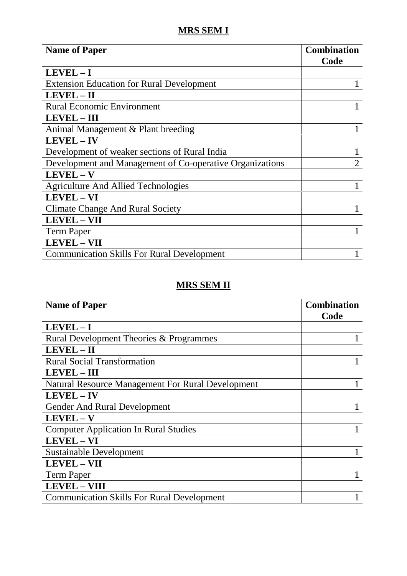## **MRS SEM I**

| <b>Name of Paper</b>                                     | <b>Combination</b><br>Code |
|----------------------------------------------------------|----------------------------|
| $LEVEL - I$                                              |                            |
| <b>Extension Education for Rural Development</b>         |                            |
| $LEVEL - II$                                             |                            |
| <b>Rural Economic Environment</b>                        |                            |
| <b>LEVEL - III</b>                                       |                            |
| Animal Management & Plant breeding                       |                            |
| <b>LEVEL-IV</b>                                          |                            |
| Development of weaker sections of Rural India            |                            |
| Development and Management of Co-operative Organizations | $\overline{2}$             |
| LEVEL - V                                                |                            |
| <b>Agriculture And Allied Technologies</b>               |                            |
| LEVEL - VI                                               |                            |
| <b>Climate Change And Rural Society</b>                  |                            |
| <b>LEVEL-VII</b>                                         |                            |
| <b>Term Paper</b>                                        |                            |
| <b>LEVEL - VII</b>                                       |                            |
| <b>Communication Skills For Rural Development</b>        |                            |

## **MRS SEM II**

| <b>Name of Paper</b>                                     | <b>Combination</b><br>Code |
|----------------------------------------------------------|----------------------------|
| $LEVEL - I$                                              |                            |
| Rural Development Theories & Programmes                  |                            |
| LEVEL-II                                                 |                            |
| <b>Rural Social Transformation</b>                       |                            |
| <b>LEVEL-III</b>                                         |                            |
| <b>Natural Resource Management For Rural Development</b> |                            |
| <b>LEVEL-IV</b>                                          |                            |
| <b>Gender And Rural Development</b>                      |                            |
| LEVEL - V                                                |                            |
| <b>Computer Application In Rural Studies</b>             |                            |
| LEVEL - VI                                               |                            |
| <b>Sustainable Development</b>                           |                            |
| <b>LEVEL - VII</b>                                       |                            |
| <b>Term Paper</b>                                        |                            |
| <b>LEVEL - VIII</b>                                      |                            |
| <b>Communication Skills For Rural Development</b>        |                            |